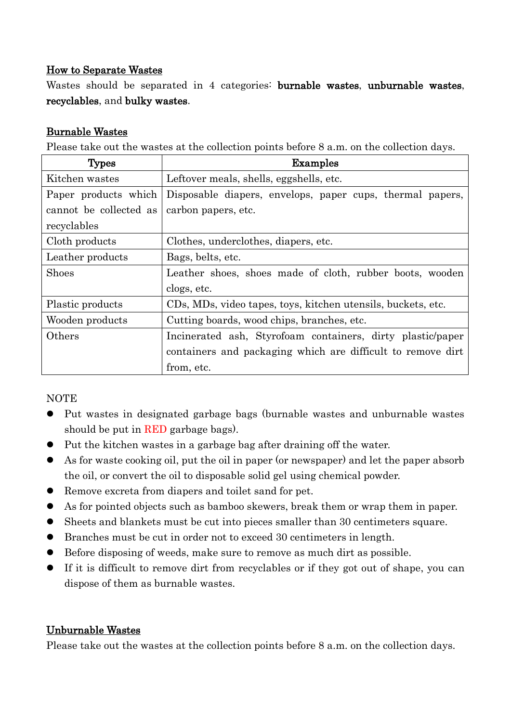# How to Separate Wastes

Wastes should be separated in 4 categories: **burnable wastes**, unburnable wastes, recyclables, and bulky wastes.

## Burnable Wastes

Please take out the wastes at the collection points before 8 a.m. on the collection days.

| <b>Types</b>           | <b>Examples</b>                                              |  |  |  |
|------------------------|--------------------------------------------------------------|--|--|--|
| Kitchen wastes         | Leftover meals, shells, eggshells, etc.                      |  |  |  |
| Paper products which   | Disposable diapers, envelops, paper cups, thermal papers,    |  |  |  |
| cannot be collected as | carbon papers, etc.                                          |  |  |  |
| recyclables            |                                                              |  |  |  |
| Cloth products         | Clothes, underclothes, diapers, etc.                         |  |  |  |
| Leather products       | Bags, belts, etc.                                            |  |  |  |
| <b>Shoes</b>           | Leather shoes, shoes made of cloth, rubber boots, wooden     |  |  |  |
|                        | clogs, etc.                                                  |  |  |  |
| Plastic products       | CDs, MDs, video tapes, toys, kitchen utensils, buckets, etc. |  |  |  |
| Wooden products        | Cutting boards, wood chips, branches, etc.                   |  |  |  |
| Others                 | Incinerated ash, Styrofoam containers, dirty plastic/paper   |  |  |  |
|                        | containers and packaging which are difficult to remove dirt  |  |  |  |
|                        | from, etc.                                                   |  |  |  |

#### **NOTE**

- Put wastes in designated garbage bags (burnable wastes and unburnable wastes should be put in RED garbage bags).
- Put the kitchen wastes in a garbage bag after draining off the water.
- As for waste cooking oil, put the oil in paper (or newspaper) and let the paper absorb the oil, or convert the oil to disposable solid gel using chemical powder.
- Remove excreta from diapers and toilet sand for pet.
- As for pointed objects such as bamboo skewers, break them or wrap them in paper.
- Sheets and blankets must be cut into pieces smaller than 30 centimeters square.
- Branches must be cut in order not to exceed 30 centimeters in length.
- Before disposing of weeds, make sure to remove as much dirt as possible.
- If it is difficult to remove dirt from recyclables or if they got out of shape, you can dispose of them as burnable wastes.

#### Unburnable Wastes

Please take out the wastes at the collection points before 8 a.m. on the collection days.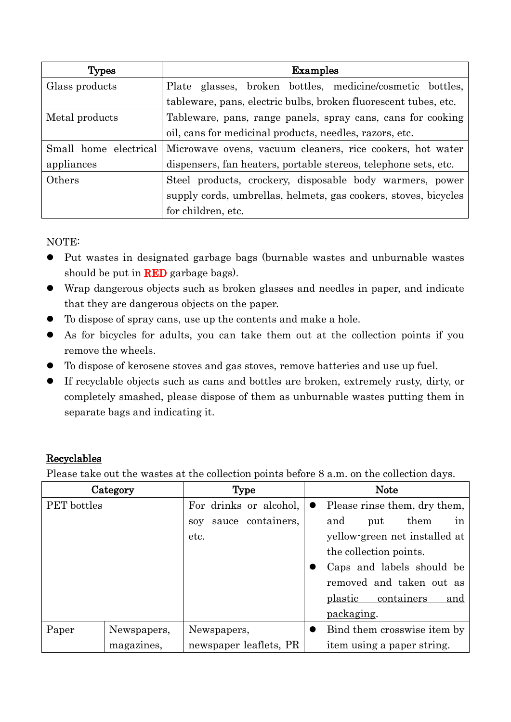| Types                 | <b>Examples</b>                                                 |  |  |  |
|-----------------------|-----------------------------------------------------------------|--|--|--|
| Glass products        | Plate glasses, broken bottles, medicine/cosmetic bottles,       |  |  |  |
|                       | tableware, pans, electric bulbs, broken fluorescent tubes, etc. |  |  |  |
| Metal products        | Tableware, pans, range panels, spray cans, cans for cooking     |  |  |  |
|                       | oil, cans for medicinal products, needles, razors, etc.         |  |  |  |
| Small home electrical | Microwave ovens, vacuum cleaners, rice cookers, hot water       |  |  |  |
| appliances            | dispensers, fan heaters, portable stereos, telephone sets, etc. |  |  |  |
| Others                | Steel products, crockery, disposable body warmers, power        |  |  |  |
|                       | supply cords, umbrellas, helmets, gas cookers, stoves, bicycles |  |  |  |
|                       | for children, etc.                                              |  |  |  |

NOTE:

- Put wastes in designated garbage bags (burnable wastes and unburnable wastes should be put in **RED** garbage bags).
- Wrap dangerous objects such as broken glasses and needles in paper, and indicate that they are dangerous objects on the paper.
- To dispose of spray cans, use up the contents and make a hole.
- As for bicycles for adults, you can take them out at the collection points if you remove the wheels.
- To dispose of kerosene stoves and gas stoves, remove batteries and use up fuel.
- If recyclable objects such as cans and bottles are broken, extremely rusty, dirty, or completely smashed, please dispose of them as unburnable wastes putting them in separate bags and indicating it.

# Recyclables

Please take out the wastes at the collection points before 8 a.m. on the collection days.

| Category           |             | Type                     |                              | <b>Note</b>                   |  |  |
|--------------------|-------------|--------------------------|------------------------------|-------------------------------|--|--|
| <b>PET</b> bottles |             | For drinks or alcohol,   |                              | Please rinse them, dry them,  |  |  |
|                    |             | sauce containers,<br>soy |                              | them<br>and<br>put<br>in      |  |  |
|                    |             | etc.                     |                              | yellow-green net installed at |  |  |
|                    |             |                          | the collection points.       |                               |  |  |
|                    |             |                          | Caps and labels should be    |                               |  |  |
|                    |             |                          | removed and taken out as     |                               |  |  |
|                    |             |                          | containers<br>plastic<br>and |                               |  |  |
|                    |             |                          |                              | <u>packaging</u> .            |  |  |
| Paper              | Newspapers, | Newspapers,              |                              | Bind them crosswise item by   |  |  |
|                    | magazines,  | newspaper leaflets, PR   |                              | item using a paper string.    |  |  |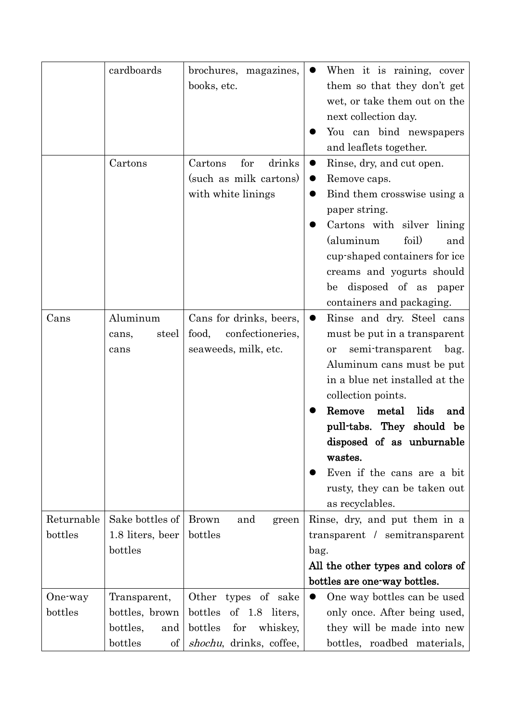|            | cardboards       | brochures, magazines,        | When it is raining, cover<br>$\bullet$   |  |  |
|------------|------------------|------------------------------|------------------------------------------|--|--|
|            |                  | books, etc.                  | them so that they don't get              |  |  |
|            |                  |                              | wet, or take them out on the             |  |  |
|            |                  |                              | next collection day.                     |  |  |
|            |                  |                              | You can bind newspapers                  |  |  |
|            |                  |                              | and leaflets together.                   |  |  |
|            | Cartons          | for<br>drinks<br>Cartons     | Rinse, dry, and cut open.<br>$\bullet$   |  |  |
|            |                  | (such as milk cartons)       | Remove caps.<br>$\bullet$                |  |  |
|            |                  | with white linings           | Bind them crosswise using a<br>●         |  |  |
|            |                  |                              | paper string.                            |  |  |
|            |                  |                              | Cartons with silver lining               |  |  |
|            |                  |                              | (aluminum<br>foil)<br>and                |  |  |
|            |                  |                              | cup-shaped containers for ice            |  |  |
|            |                  |                              | creams and yogurts should                |  |  |
|            |                  |                              | be disposed of as paper                  |  |  |
|            |                  |                              | containers and packaging.                |  |  |
| Cans       | Aluminum         | Cans for drinks, beers,      | Rinse and dry. Steel cans<br>$\bullet$   |  |  |
|            | steel<br>cans,   | food,<br>confectioneries,    | must be put in a transparent             |  |  |
|            | cans             | seaweeds, milk, etc.         | semi-transparent<br>bag.<br><b>or</b>    |  |  |
|            |                  |                              | Aluminum cans must be put                |  |  |
|            |                  |                              | in a blue net installed at the           |  |  |
|            |                  |                              | collection points.                       |  |  |
|            |                  |                              | Remove<br>lids<br>metal<br>and           |  |  |
|            |                  |                              | pull-tabs. They should be                |  |  |
|            |                  |                              | disposed of as unburnable                |  |  |
|            |                  |                              | wastes.                                  |  |  |
|            |                  |                              | Even if the cans are a bit               |  |  |
|            |                  |                              | rusty, they can be taken out             |  |  |
|            |                  |                              | as recyclables.                          |  |  |
| Returnable | Sake bottles of  | <b>Brown</b><br>and<br>green | Rinse, dry, and put them in a            |  |  |
| bottles    | 1.8 liters, beer | bottles                      | transparent / semitransparent            |  |  |
|            | bottles          |                              | bag.                                     |  |  |
|            |                  |                              | All the other types and colors of        |  |  |
|            |                  |                              | bottles are one-way bottles.             |  |  |
| One-way    | Transparent,     | Other types of sake          | One way bottles can be used<br>$\bullet$ |  |  |
| bottles    | bottles, brown   | bottles<br>of 1.8 liters,    | only once. After being used,             |  |  |
|            | bottles,<br>and  | bottles<br>whiskey,<br>for   | they will be made into new               |  |  |
|            | bottles<br>οf    | shochu, drinks, coffee,      | bottles, roadbed materials,              |  |  |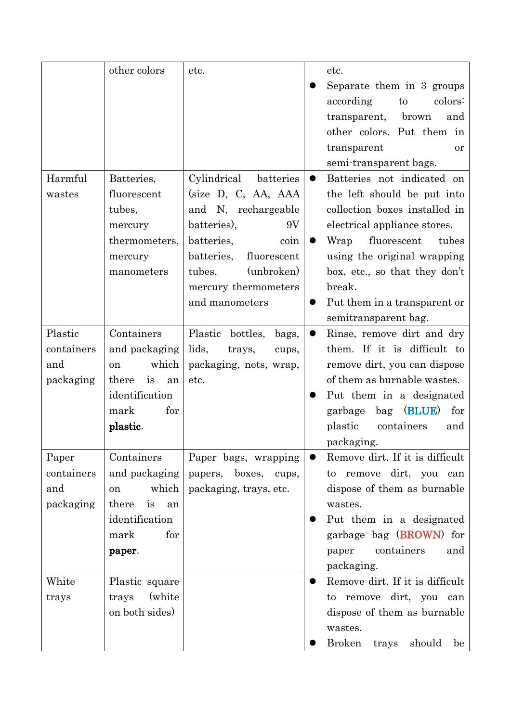|            | other colors      | etc.                         | etc.                                         |
|------------|-------------------|------------------------------|----------------------------------------------|
|            |                   |                              | Separate them in 3 groups                    |
|            |                   |                              | according<br>colors:<br>to                   |
|            |                   |                              | brown<br>transparent,<br>and                 |
|            |                   |                              | other colors. Put them in                    |
|            |                   |                              | transparent<br><sub>or</sub>                 |
|            |                   |                              | semi-transparent bags.                       |
| Harmful    | Batteries,        | Cylindrical batteries        | Batteries not indicated on<br>$\bullet$      |
| wastes     | fluorescent       | (size D, C, AA, AAA)         | the left should be put into                  |
|            | tubes,            | and N, rechargeable          | collection boxes installed in                |
|            | mercury           | batteries),<br>9V            | electrical appliance stores.                 |
|            | thermometers,     | batteries,<br>coin           | fluorescent<br>Wrap<br>tubes                 |
|            | mercury           | batteries,<br>fluorescent    | using the original wrapping                  |
|            | manometers        | (unbroken)<br>tubes,         | box, etc., so that they don't                |
|            |                   | mercury thermometers         | break.                                       |
|            |                   | and manometers               | Put them in a transparent or                 |
|            |                   |                              | semitransparent bag.                         |
| Plastic    | Containers        | Plastic<br>bottles,<br>bags, | Rinse, remove dirt and dry<br>$\bullet$      |
| containers | and packaging     | lids,<br>trays,<br>cups,     | them. If it is difficult to                  |
| and        | which<br>on       | packaging, nets, wrap,       | remove dirt, you can dispose                 |
| packaging  | there<br>is<br>an | etc.                         | of them as burnable wastes.                  |
|            | identification    |                              | Put them in a designated                     |
|            | mark<br>for       |                              | (BLUE)<br>bag<br>garbage<br>for              |
|            | plastic.          |                              | plastic<br>containers<br>and                 |
|            |                   |                              | packaging.                                   |
| Paper      | Containers        | Paper bags, wrapping         | Remove dirt. If it is difficult<br>$\bullet$ |
| containers | and packaging     | papers, boxes, cups,         | to remove dirt, you can                      |
| and        | which<br>on       | packaging, trays, etc.       | dispose of them as burnable                  |
| packaging  | there<br>is<br>an |                              | wastes.                                      |
|            | identification    |                              | Put them in a designated                     |
|            | mark<br>for       |                              | garbage bag (BROWN) for                      |
|            | paper.            |                              | containers<br>paper<br>and                   |
|            |                   |                              | packaging.                                   |
| White      | Plastic square    |                              | Remove dirt. If it is difficult<br>$\bullet$ |
| trays      | (white)<br>trays  |                              | to remove dirt, you can                      |
|            | on both sides)    |                              | dispose of them as burnable                  |
|            |                   |                              | wastes.                                      |
|            |                   |                              | Broken<br>should<br>trays<br>be              |